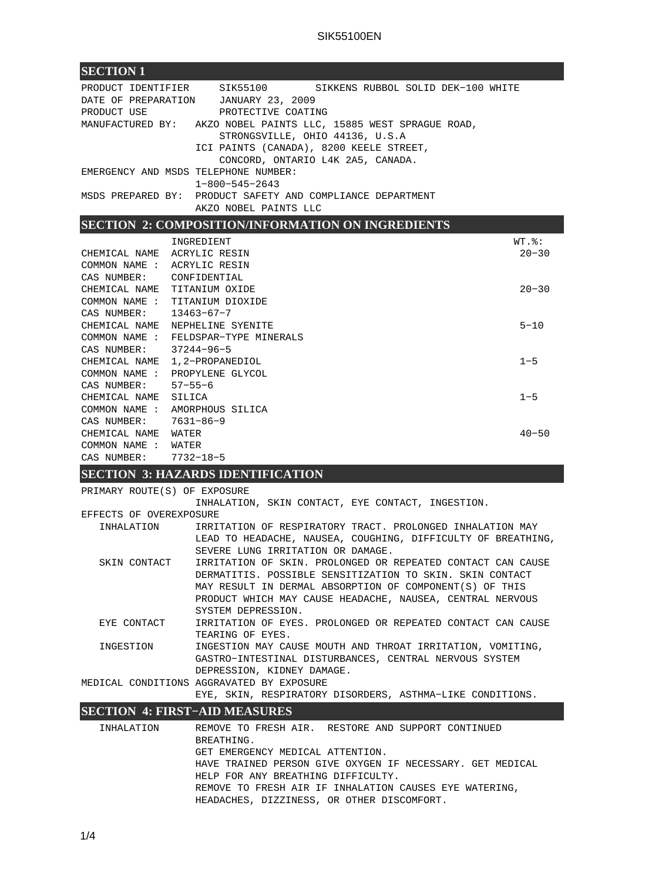| PRODUCT IDENTIFIER SIK55100<br>SIKKENS RUBBOL SOLID DEK-100 WHITE                                  |                    |
|----------------------------------------------------------------------------------------------------|--------------------|
| DATE OF PREPARATION JANUARY 23, 2009                                                               |                    |
| PROTECTIVE COATING<br>PRODUCT USE                                                                  |                    |
| MANUFACTURED BY: AKZO NOBEL PAINTS LLC, 15885 WEST SPRAGUE ROAD,                                   |                    |
| STRONGSVILLE, OHIO 44136, U.S.A<br>ICI PAINTS (CANADA), 8200 KEELE STREET,                         |                    |
| CONCORD, ONTARIO L4K 2A5, CANADA.                                                                  |                    |
| EMERGENCY AND MSDS TELEPHONE NUMBER:                                                               |                    |
| $1 - 800 - 545 - 2643$                                                                             |                    |
| MSDS PREPARED BY: PRODUCT SAFETY AND COMPLIANCE DEPARTMENT                                         |                    |
| AKZO NOBEL PAINTS LLC                                                                              |                    |
| <b>SECTION 2: COMPOSITION/INFORMATION ON INGREDIENTS</b>                                           |                    |
| INGREDIENT                                                                                         | $WT.$ $\epsilon$ : |
| CHEMICAL NAME ACRYLIC RESIN                                                                        | $20 - 30$          |
| COMMON NAME : ACRYLIC RESIN                                                                        |                    |
| CAS NUMBER:<br>CONFIDENTIAL                                                                        | $20 - 30$          |
| CHEMICAL NAME TITANIUM OXIDE<br>COMMON NAME:<br>TITANIUM DIOXIDE                                   |                    |
| CAS NUMBER:<br>$13463 - 67 - 7$                                                                    |                    |
| CHEMICAL NAME NEPHELINE SYENITE                                                                    | $5 - 10$           |
| COMMON NAME : FELDSPAR-TYPE MINERALS                                                               |                    |
| CAS NUMBER:<br>37244-96-5                                                                          |                    |
| CHEMICAL NAME 1,2-PROPANEDIOL                                                                      | $1 - 5$            |
| COMMON NAME : PROPYLENE GLYCOL<br>CAS NUMBER:<br>57–55–6                                           |                    |
| CHEMICAL NAME<br>SILICA                                                                            | $1 - 5$            |
| COMMON NAME : AMORPHOUS SILICA                                                                     |                    |
| CAS NUMBER: 7631-86-9                                                                              |                    |
| CHEMICAL NAME WATER                                                                                | $40 - 50$          |
| COMMON NAME : WATER                                                                                |                    |
| CAS NUMBER: 7732-18-5                                                                              |                    |
| <b>SECTION 3: HAZARDS IDENTIFICATION</b>                                                           |                    |
| PRIMARY ROUTE(S) OF EXPOSURE                                                                       |                    |
| INHALATION, SKIN CONTACT, EYE CONTACT, INGESTION.                                                  |                    |
| EFFECTS OF OVEREXPOSURE<br>IRRITATION OF RESPIRATORY TRACT. PROLONGED INHALATION MAY<br>INHALATION |                    |
| LEAD TO HEADACHE, NAUSEA, COUGHING, DIFFICULTY OF BREATHING,                                       |                    |
| SEVERE LUNG IRRITATION OR DAMAGE.                                                                  |                    |
| IRRITATION OF SKIN. PROLONGED OR REPEATED CONTACT CAN CAUSE<br>SKIN CONTACT                        |                    |
| DERMATITIS. POSSIBLE SENSITIZATION TO SKIN. SKIN CONTACT                                           |                    |
| MAY RESULT IN DERMAL ABSORPTION OF COMPONENT(S) OF THIS                                            |                    |
| PRODUCT WHICH MAY CAUSE HEADACHE, NAUSEA, CENTRAL NERVOUS                                          |                    |
| SYSTEM DEPRESSION.<br>IRRITATION OF EYES. PROLONGED OR REPEATED CONTACT CAN CAUSE<br>EYE CONTACT   |                    |
| TEARING OF EYES.                                                                                   |                    |
| INGESTION MAY CAUSE MOUTH AND THROAT IRRITATION, VOMITING,<br>INGESTION                            |                    |
| GASTRO-INTESTINAL DISTURBANCES, CENTRAL NERVOUS SYSTEM                                             |                    |
| DEPRESSION, KIDNEY DAMAGE.                                                                         |                    |
| MEDICAL CONDITIONS AGGRAVATED BY EXPOSURE                                                          |                    |
| EYE, SKIN, RESPIRATORY DISORDERS, ASTHMA-LIKE CONDITIONS.                                          |                    |
| <b>SECTION 4: FIRST-AID MEASURES</b>                                                               |                    |
| INHALATION<br>REMOVE TO FRESH AIR. RESTORE AND SUPPORT CONTINUED                                   |                    |
| BREATHING.                                                                                         |                    |
| GET EMERGENCY MEDICAL ATTENTION.                                                                   |                    |
| HAVE TRAINED PERSON GIVE OXYGEN IF NECESSARY. GET MEDICAL<br>HELP FOR ANY BREATHING DIFFICULTY.    |                    |

REMOVE TO FRESH AIR IF INHALATION CAUSES EYE WATERING,

HEADACHES, DIZZINESS, OR OTHER DISCOMFORT.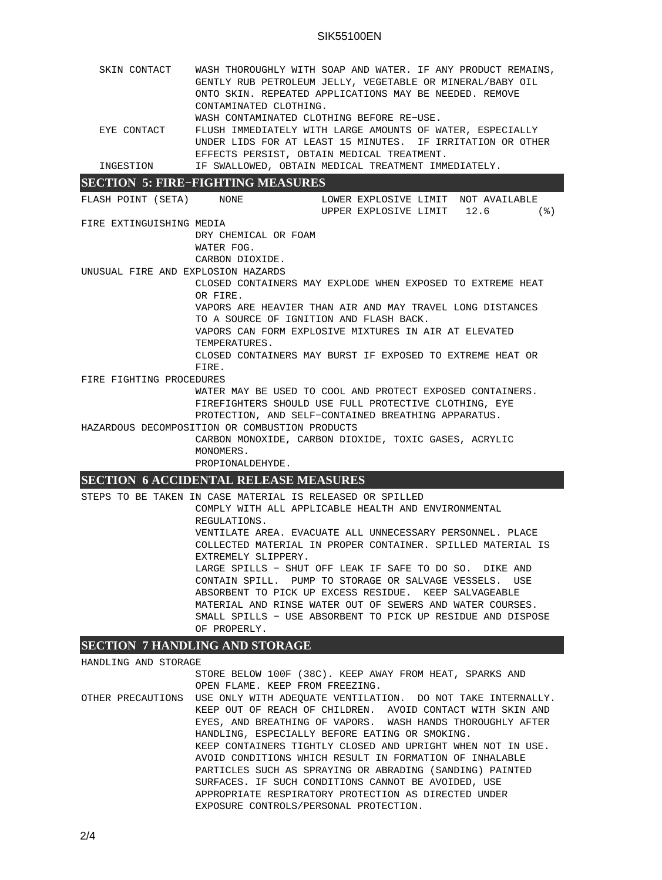| SKIN CONTACT                       | WASH THOROUGHLY WITH SOAP AND WATER. IF ANY PRODUCT REMAINS,<br>GENTLY RUB PETROLEUM JELLY, VEGETABLE OR MINERAL/BABY OIL<br>ONTO SKIN. REPEATED APPLICATIONS MAY BE NEEDED. REMOVE<br>CONTAMINATED CLOTHING. |  |  |  |  |  |  |
|------------------------------------|---------------------------------------------------------------------------------------------------------------------------------------------------------------------------------------------------------------|--|--|--|--|--|--|
|                                    | WASH CONTAMINATED CLOTHING BEFORE RE-USE.                                                                                                                                                                     |  |  |  |  |  |  |
| EYE CONTACT                        | FLUSH IMMEDIATELY WITH LARGE AMOUNTS OF WATER, ESPECIALLY<br>UNDER LIDS FOR AT LEAST 15 MINUTES. IF IRRITATION OR OTHER                                                                                       |  |  |  |  |  |  |
|                                    | EFFECTS PERSIST, OBTAIN MEDICAL TREATMENT.                                                                                                                                                                    |  |  |  |  |  |  |
| INGESTION                          | IF SWALLOWED, OBTAIN MEDICAL TREATMENT IMMEDIATELY.                                                                                                                                                           |  |  |  |  |  |  |
|                                    | <b>SECTION 5: FIRE-FIGHTING MEASURES</b>                                                                                                                                                                      |  |  |  |  |  |  |
|                                    | FLASH POINT (SETA)     NONE                  LOWER EXPLOSIVE LIMIT  NOT AVAILABLE                                                                                                                             |  |  |  |  |  |  |
|                                    | UPPER EXPLOSIVE LIMIT 12.6<br>$($ $\mathcal{E})$                                                                                                                                                              |  |  |  |  |  |  |
| FIRE EXTINGUISHING MEDIA           |                                                                                                                                                                                                               |  |  |  |  |  |  |
|                                    | DRY CHEMICAL OR FOAM                                                                                                                                                                                          |  |  |  |  |  |  |
|                                    | WATER FOG.                                                                                                                                                                                                    |  |  |  |  |  |  |
|                                    | CARBON DIOXIDE.                                                                                                                                                                                               |  |  |  |  |  |  |
| UNUSUAL FIRE AND EXPLOSION HAZARDS |                                                                                                                                                                                                               |  |  |  |  |  |  |
|                                    | CLOSED CONTAINERS MAY EXPLODE WHEN EXPOSED TO EXTREME HEAT                                                                                                                                                    |  |  |  |  |  |  |
|                                    | OR FIRE.                                                                                                                                                                                                      |  |  |  |  |  |  |
|                                    | VAPORS ARE HEAVIER THAN AIR AND MAY TRAVEL LONG DISTANCES                                                                                                                                                     |  |  |  |  |  |  |
|                                    | TO A SOURCE OF IGNITION AND FLASH BACK.                                                                                                                                                                       |  |  |  |  |  |  |
|                                    | VAPORS CAN FORM EXPLOSIVE MIXTURES IN AIR AT ELEVATED                                                                                                                                                         |  |  |  |  |  |  |
|                                    | TEMPERATURES.                                                                                                                                                                                                 |  |  |  |  |  |  |
|                                    | CLOSED CONTAINERS MAY BURST IF EXPOSED TO EXTREME HEAT OR                                                                                                                                                     |  |  |  |  |  |  |
|                                    | FIRE.                                                                                                                                                                                                         |  |  |  |  |  |  |
| FIRE FIGHTING PROCEDURES           |                                                                                                                                                                                                               |  |  |  |  |  |  |
|                                    | WATER MAY BE USED TO COOL AND PROTECT EXPOSED CONTAINERS.                                                                                                                                                     |  |  |  |  |  |  |
|                                    | FIREFIGHTERS SHOULD USE FULL PROTECTIVE CLOTHING, EYE                                                                                                                                                         |  |  |  |  |  |  |
|                                    | PROTECTION, AND SELF-CONTAINED BREATHING APPARATUS.                                                                                                                                                           |  |  |  |  |  |  |
|                                    | HAZARDOUS DECOMPOSITION OR COMBUSTION PRODUCTS                                                                                                                                                                |  |  |  |  |  |  |
|                                    | CARBON MONOXIDE, CARBON DIOXIDE, TOXIC GASES, ACRYLIC                                                                                                                                                         |  |  |  |  |  |  |
|                                    | MONOMERS.                                                                                                                                                                                                     |  |  |  |  |  |  |
|                                    | PROPIONALDEHYDE.<br>CROTION CAOGUNDULLE DEL RAGE MEAGUND                                                                                                                                                      |  |  |  |  |  |  |

## **SECTION 6 ACCIDENTAL RELEASE MEASURES**

STEPS TO BE TAKEN IN CASE MATERIAL IS RELEASED OR SPILLED COMPLY WITH ALL APPLICABLE HEALTH AND ENVIRONMENTAL REGULATIONS. VENTILATE AREA. EVACUATE ALL UNNECESSARY PERSONNEL. PLACE COLLECTED MATERIAL IN PROPER CONTAINER. SPILLED MATERIAL IS EXTREMELY SLIPPERY. LARGE SPILLS − SHUT OFF LEAK IF SAFE TO DO SO. DIKE AND CONTAIN SPILL. PUMP TO STORAGE OR SALVAGE VESSELS. USE ABSORBENT TO PICK UP EXCESS RESIDUE. KEEP SALVAGEABLE MATERIAL AND RINSE WATER OUT OF SEWERS AND WATER COURSES. SMALL SPILLS − USE ABSORBENT TO PICK UP RESIDUE AND DISPOSE OF PROPERLY.

# **SECTION 7 HANDLING AND STORAGE**

| HANDLING AND STORAGE |                                                                               |  |  |  |  |  |
|----------------------|-------------------------------------------------------------------------------|--|--|--|--|--|
|                      | STORE BELOW 100F (38C). KEEP AWAY FROM HEAT, SPARKS AND                       |  |  |  |  |  |
|                      | OPEN FLAME. KEEP FROM FREEZING.                                               |  |  |  |  |  |
|                      | OTHER PRECAUTIONS USE ONLY WITH ADEOUATE VENTILATION. DO NOT TAKE INTERNALLY. |  |  |  |  |  |
|                      | KEEP OUT OF REACH OF CHILDREN. AVOID CONTACT WITH SKIN AND                    |  |  |  |  |  |
|                      | EYES, AND BREATHING OF VAPORS. WASH HANDS THOROUGHLY AFTER                    |  |  |  |  |  |
|                      | HANDLING, ESPECIALLY BEFORE EATING OR SMOKING.                                |  |  |  |  |  |
|                      | KEEP CONTAINERS TIGHTLY CLOSED AND UPRIGHT WHEN NOT IN USE.                   |  |  |  |  |  |
|                      | AVOID CONDITIONS WHICH RESULT IN FORMATION OF INHALABLE                       |  |  |  |  |  |
|                      | PARTICLES SUCH AS SPRAYING OR ABRADING (SANDING) PAINTED                      |  |  |  |  |  |
|                      | SURFACES. IF SUCH CONDITIONS CANNOT BE AVOIDED, USE                           |  |  |  |  |  |
|                      | APPROPRIATE RESPIRATORY PROTECTION AS DIRECTED UNDER                          |  |  |  |  |  |
|                      | EXPOSURE CONTROLS/PERSONAL PROTECTION.                                        |  |  |  |  |  |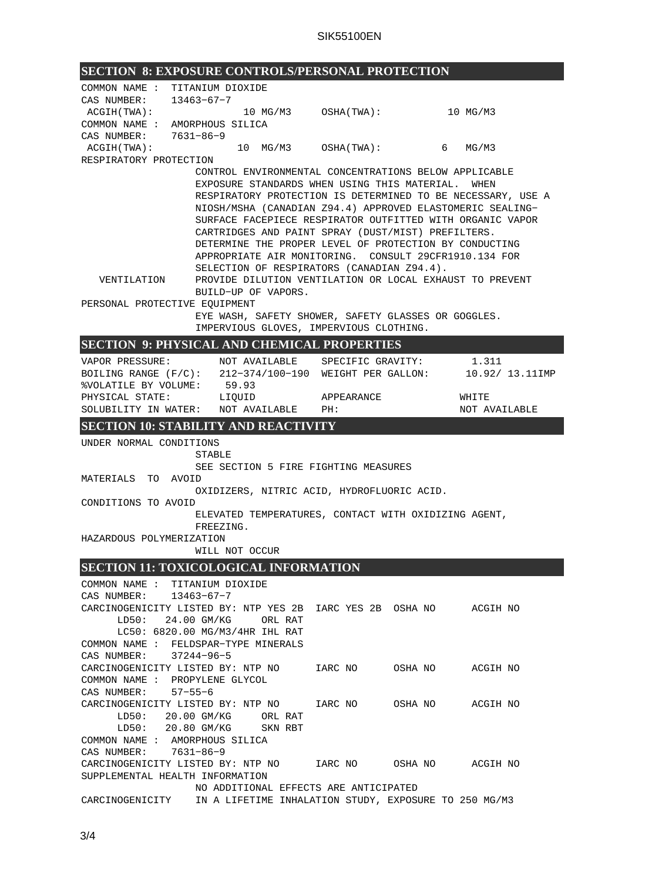| <b>SECTION 8: EXPOSURE CONTROLS/PERSONAL PROTECTION</b>                  |                |                     |                                                        |                                                             |  |
|--------------------------------------------------------------------------|----------------|---------------------|--------------------------------------------------------|-------------------------------------------------------------|--|
| COMMON NAME : TITANIUM DIOXIDE                                           |                |                     |                                                        |                                                             |  |
| CAS NUMBER: 13463-67-7                                                   |                |                     |                                                        |                                                             |  |
| ACGIH (TWA):                                                             |                |                     |                                                        |                                                             |  |
| COMMON NAME : AMORPHOUS SILICA                                           |                |                     |                                                        |                                                             |  |
| CAS NUMBER: 7631-86-9                                                    |                |                     |                                                        |                                                             |  |
| ACGIH(TWA):                                                              |                |                     | 10 MG/M3 OSHA(TWA): 6                                  | MG/M3                                                       |  |
| RESPIRATORY PROTECTION                                                   |                |                     |                                                        |                                                             |  |
|                                                                          |                |                     | CONTROL ENVIRONMENTAL CONCENTRATIONS BELOW APPLICABLE  |                                                             |  |
|                                                                          |                |                     | EXPOSURE STANDARDS WHEN USING THIS MATERIAL. WHEN      |                                                             |  |
|                                                                          |                |                     |                                                        | RESPIRATORY PROTECTION IS DETERMINED TO BE NECESSARY, USE A |  |
|                                                                          |                |                     |                                                        | NIOSH/MSHA (CANADIAN Z94.4) APPROVED ELASTOMERIC SEALING-   |  |
|                                                                          |                |                     | CARTRIDGES AND PAINT SPRAY (DUST/MIST) PREFILTERS.     | SURFACE FACEPIECE RESPIRATOR OUTFITTED WITH ORGANIC VAPOR   |  |
|                                                                          |                |                     | DETERMINE THE PROPER LEVEL OF PROTECTION BY CONDUCTING |                                                             |  |
|                                                                          |                |                     | APPROPRIATE AIR MONITORING. CONSULT 29CFR1910.134 FOR  |                                                             |  |
|                                                                          |                |                     | SELECTION OF RESPIRATORS (CANADIAN Z94.4).             |                                                             |  |
| VENTILATION                                                              |                |                     |                                                        | PROVIDE DILUTION VENTILATION OR LOCAL EXHAUST TO PREVENT    |  |
|                                                                          |                | BUILD-UP OF VAPORS. |                                                        |                                                             |  |
| PERSONAL PROTECTIVE EQUIPMENT                                            |                |                     |                                                        |                                                             |  |
|                                                                          |                |                     | EYE WASH, SAFETY SHOWER, SAFETY GLASSES OR GOGGLES.    |                                                             |  |
|                                                                          |                |                     | IMPERVIOUS GLOVES, IMPERVIOUS CLOTHING.                |                                                             |  |
| <b>SECTION 9: PHYSICAL AND CHEMICAL PROPERTIES</b>                       |                |                     |                                                        |                                                             |  |
| VAPOR PRESSURE: NOT AVAILABLE SPECIFIC GRAVITY:                          |                |                     |                                                        | 1.311                                                       |  |
| BOILING RANGE $(F/C):$ 212-374/100-190 WEIGHT PER GALLON: 10.92/13.11IMP |                |                     |                                                        |                                                             |  |
| %VOLATILE BY VOLUME:                                                     | 59.93          |                     |                                                        |                                                             |  |
| PHYSICAL STATE: LIQUID                                                   |                |                     | APPEARANCE                                             | WHITE                                                       |  |
| SOLUBILITY IN WATER: NOT AVAILABLE PH:                                   |                |                     |                                                        | NOT AVAILABLE                                               |  |
| <b>SECTION 10: STABILITY AND REACTIVITY</b>                              |                |                     |                                                        |                                                             |  |
| UNDER NORMAL CONDITIONS                                                  |                |                     |                                                        |                                                             |  |
|                                                                          | STABLE         |                     |                                                        |                                                             |  |
|                                                                          |                |                     | SEE SECTION 5 FIRE FIGHTING MEASURES                   |                                                             |  |
| MATERIALS TO AVOID                                                       |                |                     |                                                        |                                                             |  |
|                                                                          |                |                     | OXIDIZERS, NITRIC ACID, HYDROFLUORIC ACID.             |                                                             |  |
| CONDITIONS TO AVOID                                                      |                |                     |                                                        |                                                             |  |
|                                                                          |                |                     | ELEVATED TEMPERATURES, CONTACT WITH OXIDIZING AGENT,   |                                                             |  |
|                                                                          | FREEZING.      |                     |                                                        |                                                             |  |
| HAZARDOUS POLYMERIZATION                                                 |                |                     |                                                        |                                                             |  |
|                                                                          | WILL NOT OCCUR |                     |                                                        |                                                             |  |
| SECTION 11: TOXICOLOGICAL INFORMATION                                    |                |                     |                                                        |                                                             |  |
| COMMON NAME : TITANIUM DIOXIDE                                           |                |                     |                                                        |                                                             |  |
| CAS NUMBER: 13463-67-7                                                   |                |                     |                                                        |                                                             |  |
|                                                                          |                |                     |                                                        |                                                             |  |
| LD50: 24.00 GM/KG ORL RAT                                                |                |                     |                                                        |                                                             |  |
| LC50: 6820.00 MG/M3/4HR IHL RAT                                          |                |                     |                                                        |                                                             |  |
| COMMON NAME : FELDSPAR-TYPE MINERALS<br>CAS NUMBER: 37244-96-5           |                |                     |                                                        |                                                             |  |
| CARCINOGENICITY LISTED BY: NTP NO    IARC NO    OSHA NO         ACGIH NO |                |                     |                                                        |                                                             |  |
| COMMON NAME : PROPYLENE GLYCOL                                           |                |                     |                                                        |                                                             |  |
| CAS NUMBER: 57-55-6                                                      |                |                     |                                                        |                                                             |  |
| CARCINOGENICITY LISTED BY: NTP NO   IARC NO   OSHA NO   ACGIH NO         |                |                     |                                                        |                                                             |  |
| LD50: 20.00 GM/KG ORL RAT                                                |                |                     |                                                        |                                                             |  |
| LD50: 20.80 GM/KG SKN RBT                                                |                |                     |                                                        |                                                             |  |
| COMMON NAME : AMORPHOUS SILICA                                           |                |                     |                                                        |                                                             |  |
| CAS NUMBER: 7631-86-9                                                    |                |                     |                                                        |                                                             |  |
| CARCINOGENICITY LISTED BY: NTP NO   IARC NO   OSHA NO   ACGIH NO         |                |                     |                                                        |                                                             |  |
| SUPPLEMENTAL HEALTH INFORMATION                                          |                |                     |                                                        |                                                             |  |
|                                                                          |                |                     | NO ADDITIONAL EFFECTS ARE ANTICIPATED                  |                                                             |  |
| CARCINOGENICITY - IN A LIFETIME INHALATION STUDY, EXPOSURE TO 250 MG/M3  |                |                     |                                                        |                                                             |  |